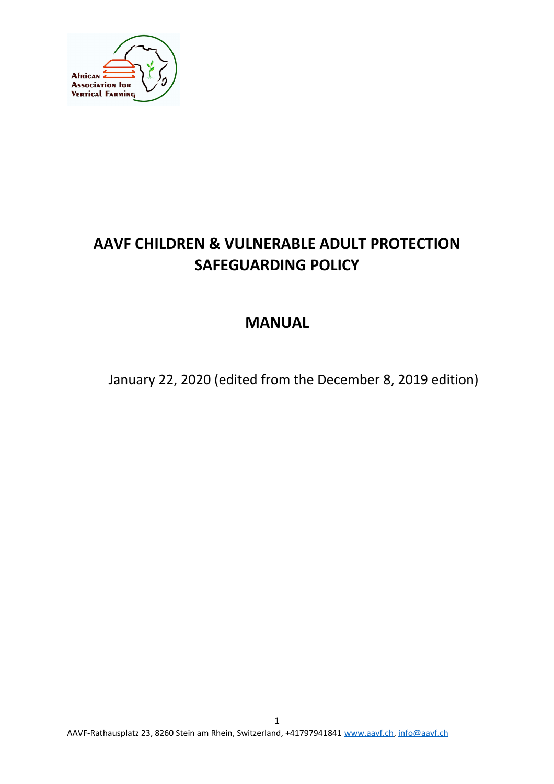

# **AAVF CHILDREN & VULNERABLE ADULT PROTECTION SAFEGUARDING POLICY**

# **MANUAL**

January 22, 2020 (edited from the December 8, 2019 edition)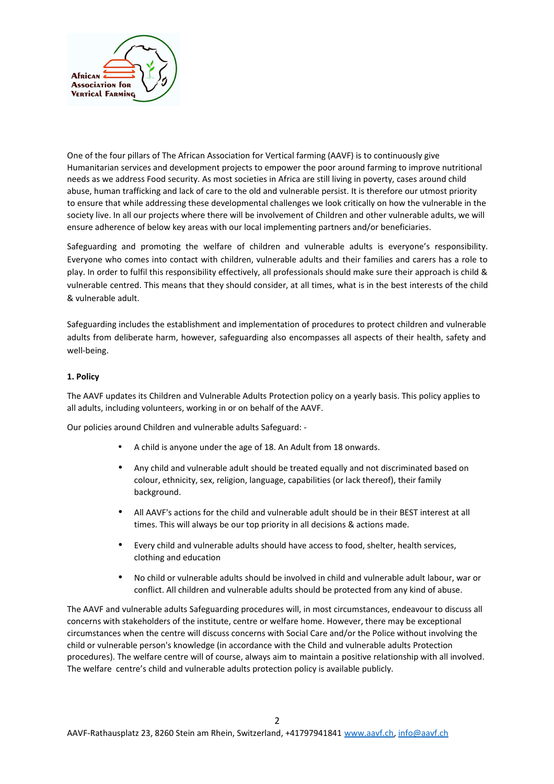

One of the four pillars of The African Association for Vertical farming (AAVF) is to continuously give Humanitarian services and development projects to empower the poor around farming to improve nutritional needs as we address Food security. As most societies in Africa are still living in poverty, cases around child abuse, human trafficking and lack of care to the old and vulnerable persist. It is therefore our utmost priority to ensure that while addressing these developmental challenges we look critically on how the vulnerable in the society live. In all our projects where there will be involvement of Children and other vulnerable adults, we will ensure adherence of below key areas with our local implementing partners and/or beneficiaries.

Safeguarding and promoting the welfare of children and vulnerable adults is everyone's responsibility. Everyone who comes into contact with children, vulnerable adults and their families and carers has a role to play. In order to fulfil this responsibility effectively, all professionals should make sure their approach is child & vulnerable centred. This means that they should consider, at all times, what is in the best interests of the child & vulnerable adult.

Safeguarding includes the establishment and implementation of procedures to protect children and vulnerable adults from deliberate harm, however, safeguarding also encompasses all aspects of their health, safety and well-being.

## **1. Policy**

The AAVF updates its Children and Vulnerable Adults Protection policy on a yearly basis. This policy applies to all adults, including volunteers, working in or on behalf of the AAVF.

Our policies around Children and vulnerable adults Safeguard: -

- A child is anyone under the age of 18. An Adult from 18 onwards.
- Any child and vulnerable adult should be treated equally and not discriminated based on colour, ethnicity, sex, religion, language, capabilities (or lack thereof), their family background.
- All AAVF's actions for the child and vulnerable adult should be in their BEST interest at all times. This will always be our top priority in all decisions & actions made.
- Every child and vulnerable adults should have access to food, shelter, health services, clothing and education
- No child or vulnerable adults should be involved in child and vulnerable adult labour, war or conflict. All children and vulnerable adults should be protected from any kind of abuse.

The AAVF and vulnerable adults Safeguarding procedures will, in most circumstances, endeavour to discuss all concerns with stakeholders of the institute, centre or welfare home. However, there may be exceptional circumstances when the centre will discuss concerns with Social Care and/or the Police without involving the child or vulnerable person's knowledge (in accordance with the Child and vulnerable adults Protection procedures). The welfare centre will of course, always aim to maintain a positive relationship with all involved. The welfare centre's child and vulnerable adults protection policy is available publicly.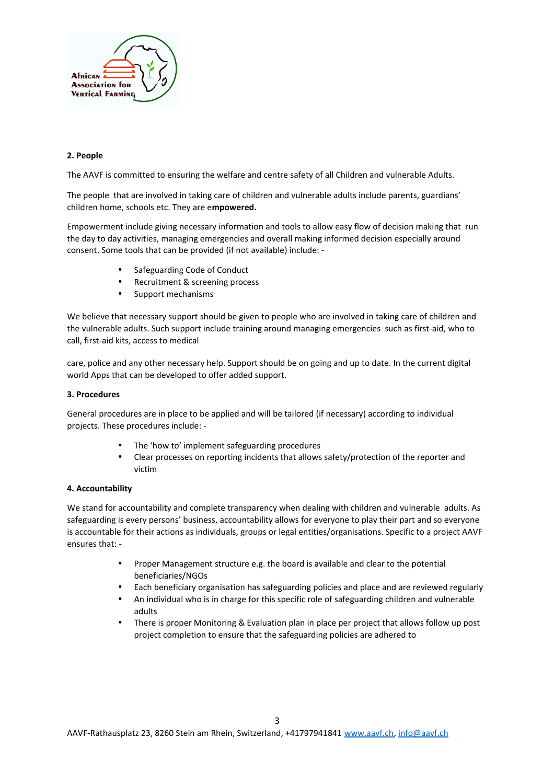

## **2. People**

The AAVF is committed to ensuring the welfare and centre safety of all Children and vulnerable Adults.

The people that are involved in taking care of children and vulnerable adults include parents, guardians' children home, schools etc. They are e**mpowered.** 

Empowerment include giving necessary information and tools to allow easy flow of decision making that run the day to day activities, managing emergencies and overall making informed decision especially around consent. Some tools that can be provided (if not available) include: -

- Safeguarding Code of Conduct
- Recruitment & screening process
- Support mechanisms

We believe that necessary support should be given to people who are involved in taking care of children and the vulnerable adults. Such support include training around managing emergencies such as first-aid, who to call, first-aid kits, access to medical

care, police and any other necessary help. Support should be on going and up to date. In the current digital world Apps that can be developed to offer added support.

## **3. Procedures**

General procedures are in place to be applied and will be tailored (if necessary) according to individual projects. These procedures include: -

- The 'how to' implement safeguarding procedures
- Clear processes on reporting incidents that allows safety/protection of the reporter and victim

## **4. Accountability**

We stand for accountability and complete transparency when dealing with children and vulnerable adults. As safeguarding is every persons' business, accountability allows for everyone to play their part and so everyone is accountable for their actions as individuals, groups or legal entities/organisations. Specific to a project AAVF ensures that: -

- Proper Management structure e.g. the board is available and clear to the potential beneficiaries/NGOs
- Each beneficiary organisation has safeguarding policies and place and are reviewed regularly
- An individual who is in charge for this specific role of safeguarding children and vulnerable adults
- There is proper Monitoring & Evaluation plan in place per project that allows follow up post project completion to ensure that the safeguarding policies are adhered to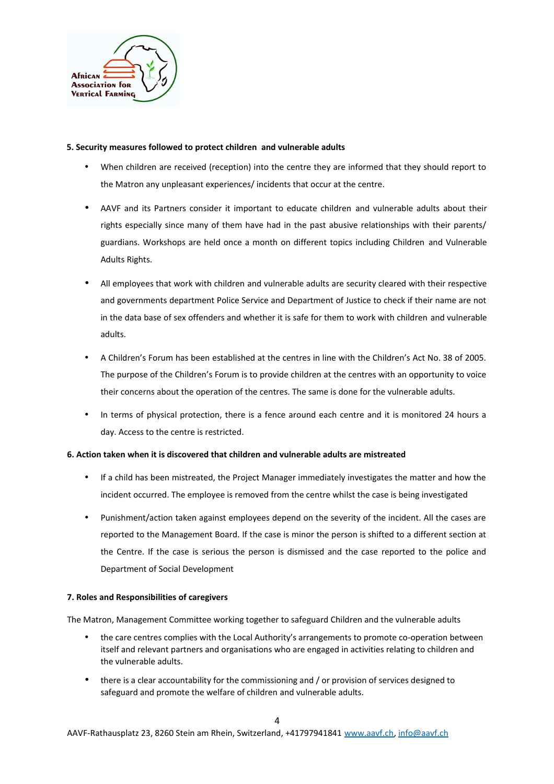

## **5. Security measures followed to protect children and vulnerable adults**

- When children are received (reception) into the centre they are informed that they should report to the Matron any unpleasant experiences/ incidents that occur at the centre.
- AAVF and its Partners consider it important to educate children and vulnerable adults about their rights especially since many of them have had in the past abusive relationships with their parents/ guardians. Workshops are held once a month on different topics including Children and Vulnerable Adults Rights.
- All employees that work with children and vulnerable adults are security cleared with their respective and governments department Police Service and Department of Justice to check if their name are not in the data base of sex offenders and whether it is safe for them to work with children and vulnerable adults.
- A Children's Forum has been established at the centres in line with the Children's Act No. 38 of 2005. The purpose of the Children's Forum is to provide children at the centres with an opportunity to voice their concerns about the operation of the centres. The same is done for the vulnerable adults.
- In terms of physical protection, there is a fence around each centre and it is monitored 24 hours a day. Access to the centre is restricted.

## **6. Action taken when it is discovered that children and vulnerable adults are mistreated**

- If a child has been mistreated, the Project Manager immediately investigates the matter and how the incident occurred. The employee is removed from the centre whilst the case is being investigated
- Punishment/action taken against employees depend on the severity of the incident. All the cases are reported to the Management Board. If the case is minor the person is shifted to a different section at the Centre. If the case is serious the person is dismissed and the case reported to the police and Department of Social Development

#### **7. Roles and Responsibilities of caregivers**

The Matron, Management Committee working together to safeguard Children and the vulnerable adults

- the care centres complies with the Local Authority's arrangements to promote co-operation between itself and relevant partners and organisations who are engaged in activities relating to children and the vulnerable adults.
- there is a clear accountability for the commissioning and / or provision of services designed to safeguard and promote the welfare of children and vulnerable adults.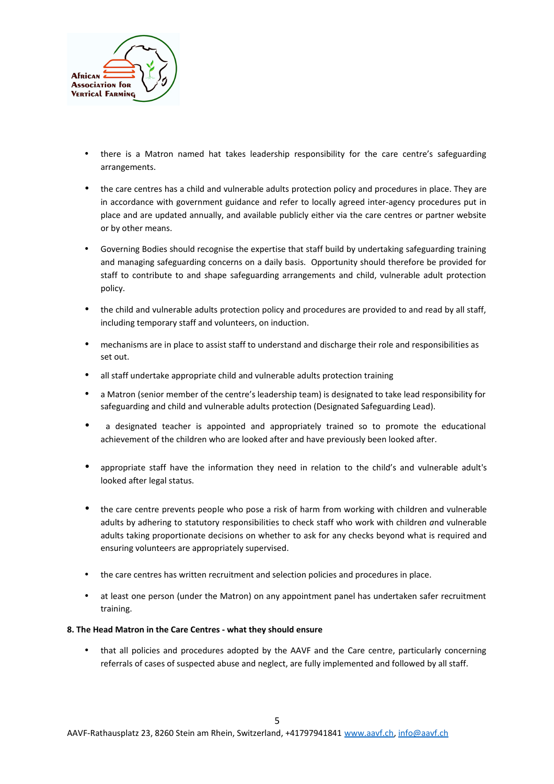

- there is a Matron named hat takes leadership responsibility for the care centre's safeguarding arrangements.
- the care centres has a child and vulnerable adults protection policy and procedures in place. They are in accordance with government guidance and refer to locally agreed inter-agency procedures put in place and are updated annually, and available publicly either via the care centres or partner website or by other means.
- Governing Bodies should recognise the expertise that staff build by undertaking safeguarding training and managing safeguarding concerns on a daily basis. Opportunity should therefore be provided for staff to contribute to and shape safeguarding arrangements and child, vulnerable adult protection policy.
- the child and vulnerable adults protection policy and procedures are provided to and read by all staff, including temporary staff and volunteers, on induction.
- mechanisms are in place to assist staff to understand and discharge their role and responsibilities as set out.
- all staff undertake appropriate child and vulnerable adults protection training
- a Matron (senior member of the centre's leadership team) is designated to take lead responsibility for safeguarding and child and vulnerable adults protection (Designated Safeguarding Lead).
- a designated teacher is appointed and appropriately trained so to promote the educational achievement of the children who are looked after and have previously been looked after.
- appropriate staff have the information they need in relation to the child's and vulnerable adult's looked after legal status.
- the care centre prevents people who pose a risk of harm from working with children and vulnerable adults by adhering to statutory responsibilities to check staff who work with children *a*nd vulnerable adults taking proportionate decisions on whether to ask for any checks beyond what is required and ensuring volunteers are appropriately supervised.
- the care centres has written recruitment and selection policies and procedures in place.
- at least one person (under the Matron) on any appointment panel has undertaken safer recruitment training.

## **8. The Head Matron in the Care Centres - what they should ensure**

• that all policies and procedures adopted by the AAVF and the Care centre, particularly concerning referrals of cases of suspected abuse and neglect, are fully implemented and followed by all staff.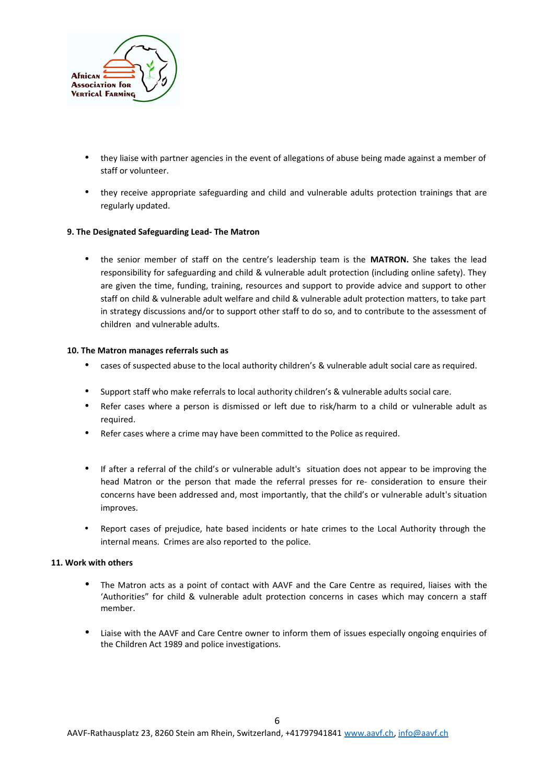

- they liaise with partner agencies in the event of allegations of abuse being made against a member of staff or volunteer.
- they receive appropriate safeguarding and child and vulnerable adults protection trainings that are regularly updated.

## **9. The Designated Safeguarding Lead- The Matron**

• the senior member of staff on the centre's leadership team is the **MATRON.** She takes the lead responsibility for safeguarding and child & vulnerable adult protection (including online safety). They are given the time, funding, training, resources and support to provide advice and support to other staff on child & vulnerable adult welfare and child & vulnerable adult protection matters, to take part in strategy discussions and/or to support other staff to do so, and to contribute to the assessment of children and vulnerable adults.

## **10. The Matron manages referrals such as**

- cases of suspected abuse to the local authority children's & vulnerable adult social care as required.
- Support staff who make referrals to local authority children's & vulnerable adults social care.
- Refer cases where a person is dismissed or left due to risk/harm to a child or vulnerable adult as required.
- Refer cases where a crime may have been committed to the Police as required.
- If after a referral of the child's or vulnerable adult's situation does not appear to be improving the head Matron or the person that made the referral presses for re- consideration to ensure their concerns have been addressed and, most importantly, that the child's or vulnerable adult's situation improves.
- Report cases of prejudice, hate based incidents or hate crimes to the Local Authority through the internal means. Crimes are also reported to the police.

#### **11. Work with others**

- The Matron acts as a point of contact with AAVF and the Care Centre as required, liaises with the 'Authorities" for child & vulnerable adult protection concerns in cases which may concern a staff member.
- Liaise with the AAVF and Care Centre owner to inform them of issues especially ongoing enquiries of the Children Act 1989 and police investigations.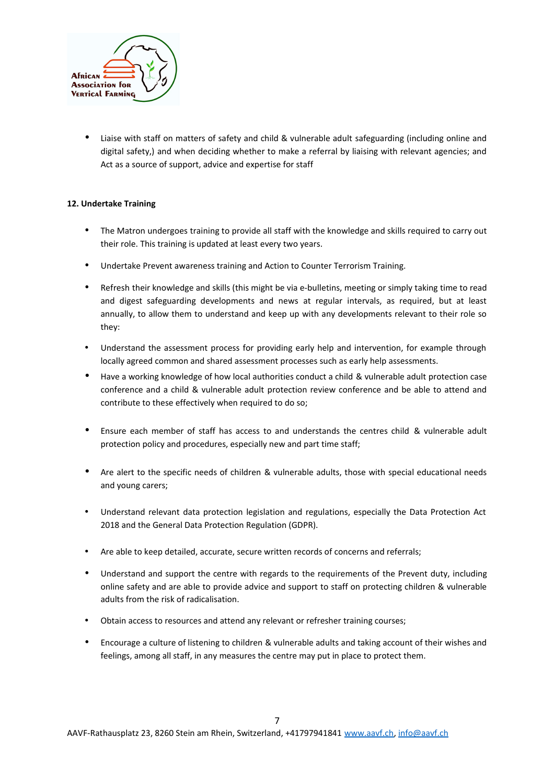

• Liaise with staff on matters of safety and child & vulnerable adult safeguarding (including online and digital safety,) and when deciding whether to make a referral by liaising with relevant agencies; and Act as a source of support, advice and expertise for staff

# **12. Undertake Training**

- The Matron undergoes training to provide all staff with the knowledge and skills required to carry out their role. This training is updated at least every two years.
- Undertake Prevent awareness training and Action to Counter Terrorism Training.
- Refresh their knowledge and skills (this might be via e-bulletins, meeting or simply taking time to read and digest safeguarding developments and news at regular intervals, as required, but at least annually, to allow them to understand and keep up with any developments relevant to their role so they:
- Understand the assessment process for providing early help and intervention, for example through locally agreed common and shared assessment processes such as early help assessments.
- Have a working knowledge of how local authorities conduct a child & vulnerable adult protection case conference and a child & vulnerable adult protection review conference and be able to attend and contribute to these effectively when required to do so;
- Ensure each member of staff has access to and understands the centres child & vulnerable adult protection policy and procedures, especially new and part time staff;
- Are alert to the specific needs of children & vulnerable adults, those with special educational needs and young carers;
- Understand relevant data protection legislation and regulations, especially the Data Protection Act 2018 and the General Data Protection Regulation (GDPR).
- Are able to keep detailed, accurate, secure written records of concerns and referrals;
- Understand and support the centre with regards to the requirements of the Prevent duty, including online safety and are able to provide advice and support to staff on protecting children & vulnerable adults from the risk of radicalisation.
- Obtain access to resources and attend any relevant or refresher training courses;
- Encourage a culture of listening to children & vulnerable adults and taking account of their wishes and feelings, among all staff, in any measures the centre may put in place to protect them.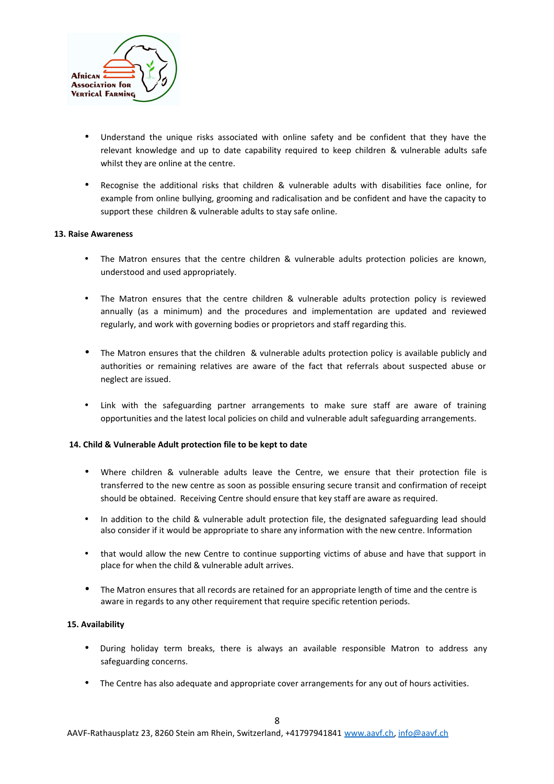

- Understand the unique risks associated with online safety and be confident that they have the relevant knowledge and up to date capability required to keep children & vulnerable adults safe whilst they are online at the centre.
- Recognise the additional risks that children & vulnerable adults with disabilities face online, for example from online bullying, grooming and radicalisation and be confident and have the capacity to support these children & vulnerable adults to stay safe online.

#### **13. Raise Awareness**

- The Matron ensures that the centre children & vulnerable adults protection policies are known, understood and used appropriately.
- The Matron ensures that the centre children & vulnerable adults protection policy is reviewed annually (as a minimum) and the procedures and implementation are updated and reviewed regularly, and work with governing bodies or proprietors and staff regarding this.
- The Matron ensures that the children & vulnerable adults protection policy is available publicly and authorities or remaining relatives are aware of the fact that referrals about suspected abuse or neglect are issued.
- Link with the safeguarding partner arrangements to make sure staff are aware of training opportunities and the latest local policies on child and vulnerable adult safeguarding arrangements.

## **14. Child & Vulnerable Adult protection file to be kept to date**

- Where children & vulnerable adults leave the Centre, we ensure that their protection file is transferred to the new centre as soon as possible ensuring secure transit and confirmation of receipt should be obtained. Receiving Centre should ensure that key staff are aware as required.
- In addition to the child & vulnerable adult protection file, the designated safeguarding lead should also consider if it would be appropriate to share any information with the new centre. Information
- that would allow the new Centre to continue supporting victims of abuse and have that support in place for when the child & vulnerable adult arrives.
- The Matron ensures that all records are retained for an appropriate length of time and the centre is aware in regards to any other requirement that require specific retention periods.

#### **15. Availability**

- During holiday term breaks, there is always an available responsible Matron to address any safeguarding concerns.
- The Centre has also adequate and appropriate cover arrangements for any out of hours activities.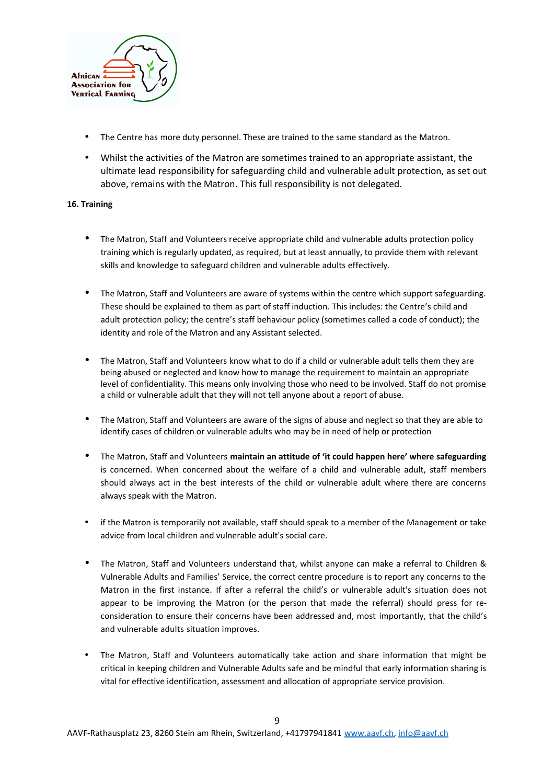

- The Centre has more duty personnel. These are trained to the same standard as the Matron.
- Whilst the activities of the Matron are sometimes trained to an appropriate assistant, the ultimate lead responsibility for safeguarding child and vulnerable adult protection, as set out above, remains with the Matron. This full responsibility is not delegated.

## **16. Training**

- The Matron, Staff and Volunteers receive appropriate child and vulnerable adults protection policy training which is regularly updated, as required, but at least annually, to provide them with relevant skills and knowledge to safeguard children and vulnerable adults effectively.
- The Matron, Staff and Volunteers are aware of systems within the centre which support safeguarding. These should be explained to them as part of staff induction. This includes: the Centre's child and adult protection policy; the centre's staff behaviour policy (sometimes called a code of conduct); the identity and role of the Matron and any Assistant selected.
- The Matron, Staff and Volunteers know what to do if a child or vulnerable adult tells them they are being abused or neglected and know how to manage the requirement to maintain an appropriate level of confidentiality. This means only involving those who need to be involved. Staff do not promise a child or vulnerable adult that they will not tell anyone about a report of abuse.
- The Matron, Staff and Volunteers are aware of the signs of abuse and neglect so that they are able to identify cases of children or vulnerable adults who may be in need of help or protection
- The Matron, Staff and Volunteers **maintain an attitude of 'it could happen here' where safeguarding** is concerned. When concerned about the welfare of a child and vulnerable adult, staff members should always act in the best interests of the child or vulnerable adult where there are concerns always speak with the Matron.
- if the Matron is temporarily not available, staff should speak to a member of the Management or take advice from local children and vulnerable adult's social care.
- The Matron, Staff and Volunteers understand that, whilst anyone can make a referral to Children & Vulnerable Adults and Families' Service, the correct centre procedure is to report any concerns to the Matron in the first instance. If after a referral the child's or vulnerable adult's situation does not appear to be improving the Matron (or the person that made the referral) should press for reconsideration to ensure their concerns have been addressed and, most importantly, that the child's and vulnerable adults situation improves.
- The Matron, Staff and Volunteers automatically take action and share information that might be critical in keeping children and Vulnerable Adults safe and be mindful that early information sharing is vital for effective identification, assessment and allocation of appropriate service provision.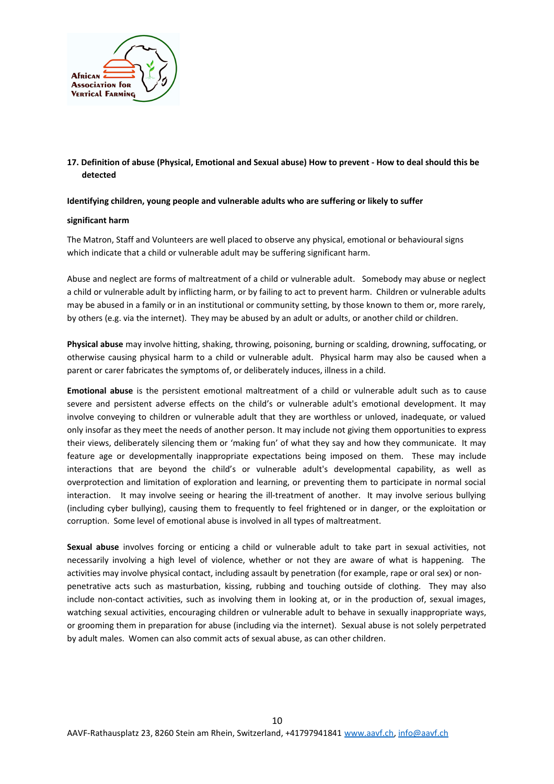

# **17. Definition of abuse (Physical, Emotional and Sexual abuse) How to prevent - How to deal should this be detected**

## **Identifying children, young people and vulnerable adults who are suffering or likely to suffer**

#### **significant harm**

The Matron, Staff and Volunteers are well placed to observe any physical, emotional or behavioural signs which indicate that a child or vulnerable adult may be suffering significant harm.

Abuse and neglect are forms of maltreatment of a child or vulnerable adult. Somebody may abuse or neglect a child or vulnerable adult by inflicting harm, or by failing to act to prevent harm. Children or vulnerable adults may be abused in a family or in an institutional or community setting, by those known to them or, more rarely, by others (e.g. via the internet). They may be abused by an adult or adults, or another child or children.

**Physical abuse** may involve hitting, shaking, throwing, poisoning, burning or scalding, drowning, suffocating, or otherwise causing physical harm to a child or vulnerable adult. Physical harm may also be caused when a parent or carer fabricates the symptoms of, or deliberately induces, illness in a child.

**Emotional abuse** is the persistent emotional maltreatment of a child or vulnerable adult such as to cause severe and persistent adverse effects on the child's or vulnerable adult's emotional development. It may involve conveying to children or vulnerable adult that they are worthless or unloved, inadequate, or valued only insofar as they meet the needs of another person. It may include not giving them opportunities to express their views, deliberately silencing them or 'making fun' of what they say and how they communicate. It may feature age or developmentally inappropriate expectations being imposed on them. These may include interactions that are beyond the child's or vulnerable adult's developmental capability, as well as overprotection and limitation of exploration and learning, or preventing them to participate in normal social interaction. It may involve seeing or hearing the ill-treatment of another. It may involve serious bullying (including cyber bullying), causing them to frequently to feel frightened or in danger, or the exploitation or corruption. Some level of emotional abuse is involved in all types of maltreatment.

**Sexual abuse** involves forcing or enticing a child or vulnerable adult to take part in sexual activities, not necessarily involving a high level of violence, whether or not they are aware of what is happening. The activities may involve physical contact, including assault by penetration (for example, rape or oral sex) or nonpenetrative acts such as masturbation, kissing, rubbing and touching outside of clothing. They may also include non-contact activities, such as involving them in looking at, or in the production of, sexual images, watching sexual activities, encouraging children or vulnerable adult to behave in sexually inappropriate ways, or grooming them in preparation for abuse (including via the internet). Sexual abuse is not solely perpetrated by adult males. Women can also commit acts of sexual abuse, as can other children.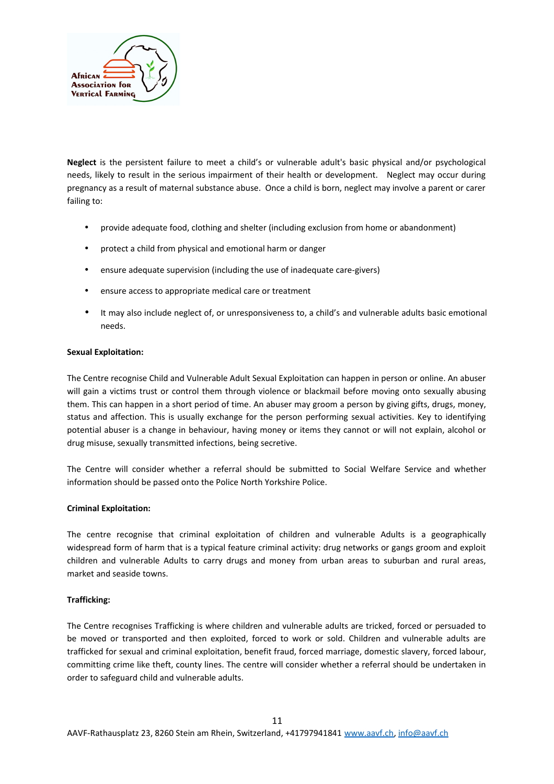

**Neglect** is the persistent failure to meet a child's or vulnerable adult's basic physical and/or psychological needs, likely to result in the serious impairment of their health or development. Neglect may occur during pregnancy as a result of maternal substance abuse. Once a child is born, neglect may involve a parent or carer failing to:

- provide adequate food, clothing and shelter (including exclusion from home or abandonment)
- protect a child from physical and emotional harm or danger
- ensure adequate supervision (including the use of inadequate care-givers)
- ensure access to appropriate medical care or treatment
- It may also include neglect of, or unresponsiveness to, a child's and vulnerable adults basic emotional needs.

## **Sexual Exploitation:**

The Centre recognise Child and Vulnerable Adult Sexual Exploitation can happen in person or online. An abuser will gain a victims trust or control them through violence or blackmail before moving onto sexually abusing them. This can happen in a short period of time. An abuser may groom a person by giving gifts, drugs, money, status and affection. This is usually exchange for the person performing sexual activities. Key to identifying potential abuser is a change in behaviour, having money or items they cannot or will not explain, alcohol or drug misuse, sexually transmitted infections, being secretive.

The Centre will consider whether a referral should be submitted to Social Welfare Service and whether information should be passed onto the Police North Yorkshire Police.

## **Criminal Exploitation:**

The centre recognise that criminal exploitation of children and vulnerable Adults is a geographically widespread form of harm that is a typical feature criminal activity: drug networks or gangs groom and exploit children and vulnerable Adults to carry drugs and money from urban areas to suburban and rural areas, market and seaside towns.

## **Trafficking:**

The Centre recognises Trafficking is where children and vulnerable adults are tricked, forced or persuaded to be moved or transported and then exploited, forced to work or sold. Children and vulnerable adults are trafficked for sexual and criminal exploitation, benefit fraud, forced marriage, domestic slavery, forced labour, committing crime like theft, county lines. The centre will consider whether a referral should be undertaken in order to safeguard child and vulnerable adults.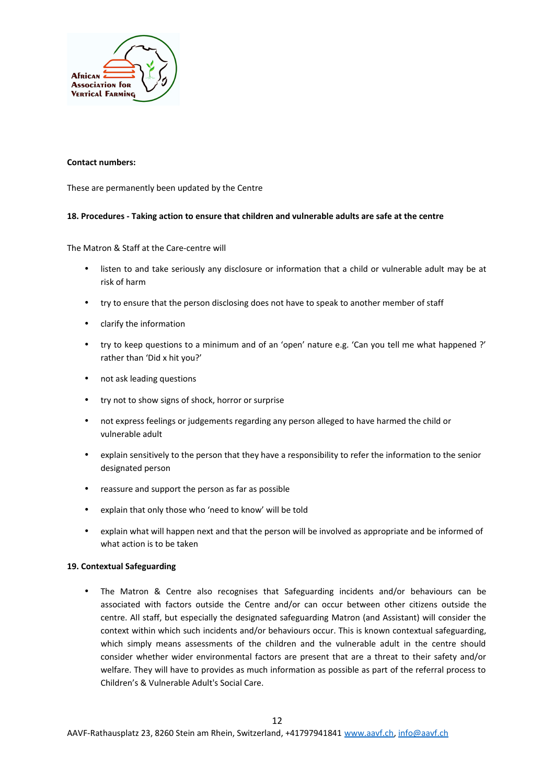

#### **Contact numbers:**

These are permanently been updated by the Centre

## **18. Procedures - Taking action to ensure that children and vulnerable adults are safe at the centre**

The Matron & Staff at the Care-centre will

- listen to and take seriously any disclosure or information that a child or vulnerable adult may be at risk of harm
- try to ensure that the person disclosing does not have to speak to another member of staff
- clarify the information
- try to keep questions to a minimum and of an 'open' nature e.g. 'Can you tell me what happened ?' rather than 'Did x hit you?'
- not ask leading questions
- try not to show signs of shock, horror or surprise
- not express feelings or judgements regarding any person alleged to have harmed the child or vulnerable adult
- explain sensitively to the person that they have a responsibility to refer the information to the senior designated person
- reassure and support the person as far as possible
- explain that only those who 'need to know' will be told
- explain what will happen next and that the person will be involved as appropriate and be informed of what action is to be taken

## **19. Contextual Safeguarding**

• The Matron & Centre also recognises that Safeguarding incidents and/or behaviours can be associated with factors outside the Centre and/or can occur between other citizens outside the centre. All staff, but especially the designated safeguarding Matron (and Assistant) will consider the context within which such incidents and/or behaviours occur. This is known contextual safeguarding, which simply means assessments of the children and the vulnerable adult in the centre should consider whether wider environmental factors are present that are a threat to their safety and/or welfare. They will have to provides as much information as possible as part of the referral process to Children's & Vulnerable Adult's Social Care.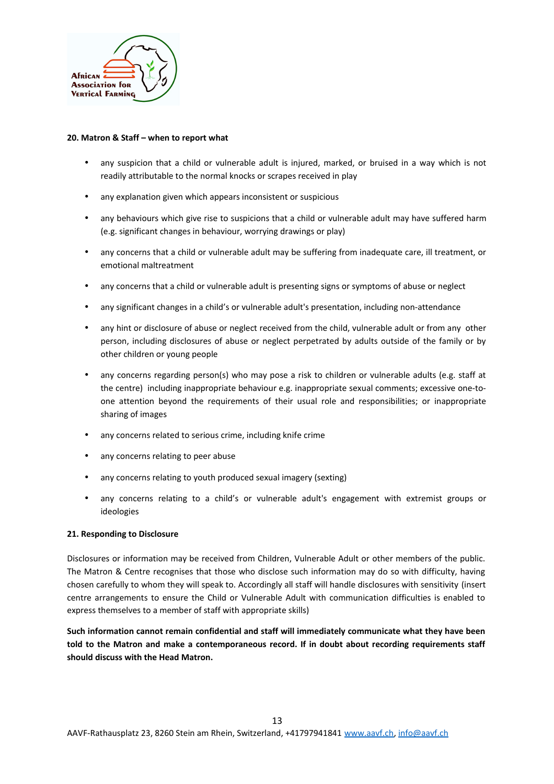

#### **20. Matron & Staff – when to report what**

- any suspicion that a child or vulnerable adult is injured, marked, or bruised in a way which is not readily attributable to the normal knocks or scrapes received in play
- any explanation given which appears inconsistent or suspicious
- any behaviours which give rise to suspicions that a child or vulnerable adult may have suffered harm (e.g. significant changes in behaviour, worrying drawings or play)
- any concerns that a child or vulnerable adult may be suffering from inadequate care, ill treatment, or emotional maltreatment
- any concerns that a child or vulnerable adult is presenting signs or symptoms of abuse or neglect
- any significant changes in a child's or vulnerable adult's presentation, including non-attendance
- any hint or disclosure of abuse or neglect received from the child, vulnerable adult or from any other person, including disclosures of abuse or neglect perpetrated by adults outside of the family or by other children or young people
- any concerns regarding person(s) who may pose a risk to children or vulnerable adults (e.g. staff at the centre) including inappropriate behaviour e.g. inappropriate sexual comments; excessive one-toone attention beyond the requirements of their usual role and responsibilities; or inappropriate sharing of images
- any concerns related to serious crime, including knife crime
- any concerns relating to peer abuse
- any concerns relating to youth produced sexual imagery (sexting)
- any concerns relating to a child's or vulnerable adult's engagement with extremist groups or ideologies

## **21. Responding to Disclosure**

Disclosures or information may be received from Children, Vulnerable Adult or other members of the public. The Matron & Centre recognises that those who disclose such information may do so with difficulty, having chosen carefully to whom they will speak to. Accordingly all staff will handle disclosures with sensitivity (insert centre arrangements to ensure the Child or Vulnerable Adult with communication difficulties is enabled to express themselves to a member of staff with appropriate skills)

**Such information cannot remain confidential and staff will immediately communicate what they have been told to the Matron and make a contemporaneous record. If in doubt about recording requirements staff should discuss with the Head Matron.**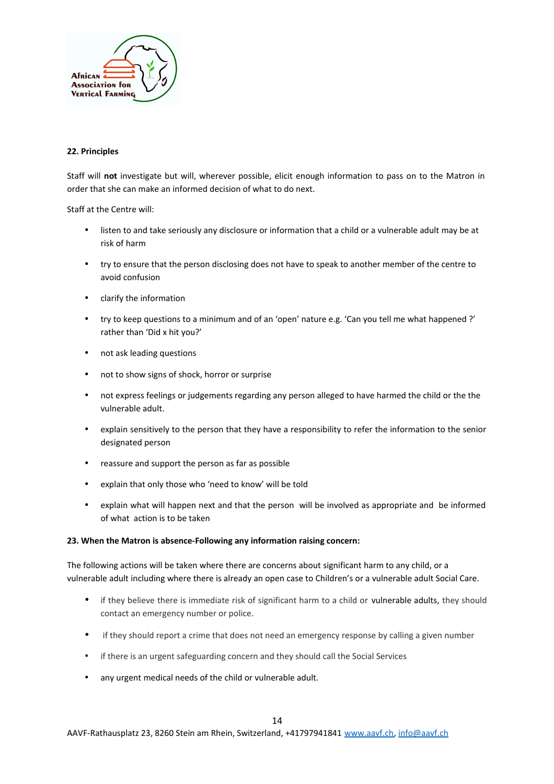

## **22. Principles**

Staff will **not** investigate but will, wherever possible, elicit enough information to pass on to the Matron in order that she can make an informed decision of what to do next.

Staff at the Centre will:

- listen to and take seriously any disclosure or information that a child or a vulnerable adult may be at risk of harm
- try to ensure that the person disclosing does not have to speak to another member of the centre to avoid confusion
- clarify the information
- try to keep questions to a minimum and of an 'open' nature e.g. 'Can you tell me what happened ?' rather than 'Did x hit you?'
- not ask leading questions
- not to show signs of shock, horror or surprise
- not express feelings or judgements regarding any person alleged to have harmed the child or the the vulnerable adult.
- explain sensitively to the person that they have a responsibility to refer the information to the senior designated person
- reassure and support the person as far as possible
- explain that only those who 'need to know' will be told
- explain what will happen next and that the person will be involved as appropriate and be informed of what action is to be taken

#### **23. When the Matron is absence-Following any information raising concern:**

The following actions will be taken where there are concerns about significant harm to any child, or a vulnerable adult including where there is already an open case to Children's or a vulnerable adult Social Care.

- if they believe there is immediate risk of significant harm to a child or vulnerable adults, they should contact an emergency number or police.
- if they should report a crime that does not need an emergency response by calling a given number
- if there is an urgent safeguarding concern and they should call the Social Services
- any urgent medical needs of the child or vulnerable adult.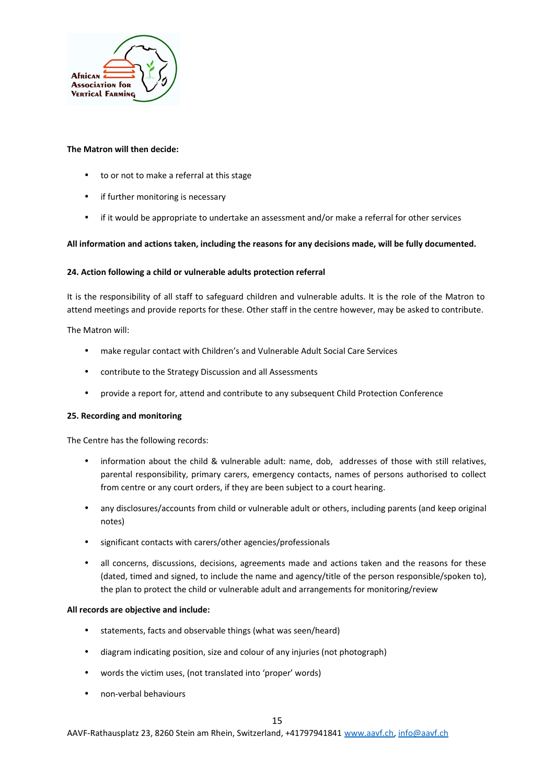

## **The Matron will then decide:**

- to or not to make a referral at this stage
- if further monitoring is necessary
- if it would be appropriate to undertake an assessment and/or make a referral for other services

## **All information and actions taken, including the reasons for any decisions made, will be fully documented.**

## **24. Action following a child or vulnerable adults protection referral**

It is the responsibility of all staff to safeguard children and vulnerable adults. It is the role of the Matron to attend meetings and provide reports for these. Other staff in the centre however, may be asked to contribute.

The Matron will:

- make regular contact with Children's and Vulnerable Adult Social Care Services
- contribute to the Strategy Discussion and all Assessments
- provide a report for, attend and contribute to any subsequent Child Protection Conference

## **25. Recording and monitoring**

The Centre has the following records:

- information about the child & vulnerable adult: name, dob, addresses of those with still relatives, parental responsibility, primary carers, emergency contacts, names of persons authorised to collect from centre or any court orders, if they are been subject to a court hearing.
- any disclosures/accounts from child or vulnerable adult or others, including parents (and keep original notes)
- significant contacts with carers/other agencies/professionals
- all concerns, discussions, decisions, agreements made and actions taken and the reasons for these (dated, timed and signed, to include the name and agency/title of the person responsible/spoken to), the plan to protect the child or vulnerable adult and arrangements for monitoring/review

## **All records are objective and include:**

- statements, facts and observable things (what was seen/heard)
- diagram indicating position, size and colour of any injuries (not photograph)
- words the victim uses, (not translated into 'proper' words)
- non-verbal behaviours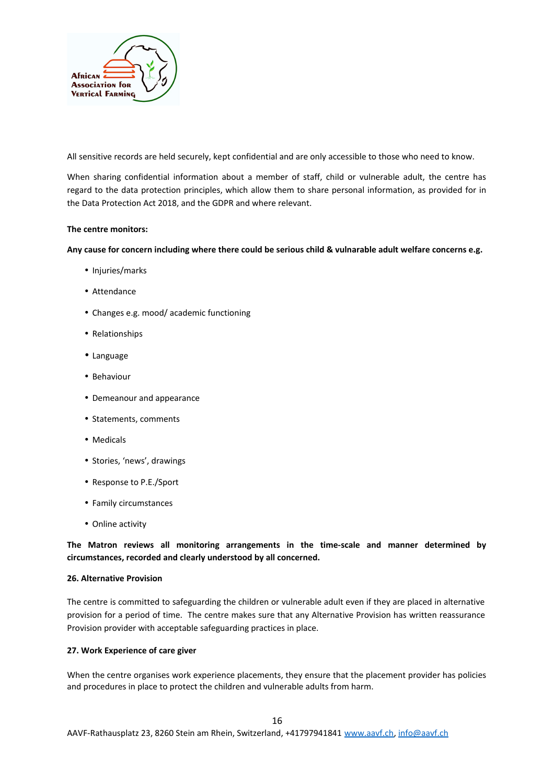

All sensitive records are held securely, kept confidential and are only accessible to those who need to know.

When sharing confidential information about a member of staff, child or vulnerable adult, the centre has regard to the data protection principles, which allow them to share personal information, as provided for in the Data Protection Act 2018, and the GDPR and where relevant.

#### **The centre monitors:**

#### **Any cause for concern including where there could be serious child & vulnarable adult welfare concerns e.g.**

- Injuries/marks
- Attendance
- Changes e.g. mood/ academic functioning
- Relationships
- Language
- Behaviour
- Demeanour and appearance
- Statements, comments
- Medicals
- Stories, 'news', drawings
- Response to P.E./Sport
- Family circumstances
- Online activity

**The Matron reviews all monitoring arrangements in the time-scale and manner determined by circumstances, recorded and clearly understood by all concerned.**

# **26. Alternative Provision**

The centre is committed to safeguarding the children or vulnerable adult even if they are placed in alternative provision for a period of time. The centre makes sure that any Alternative Provision has written reassurance Provision provider with acceptable safeguarding practices in place.

#### **27. Work Experience of care giver**

When the centre organises work experience placements, they ensure that the placement provider has policies and procedures in place to protect the children and vulnerable adults from harm.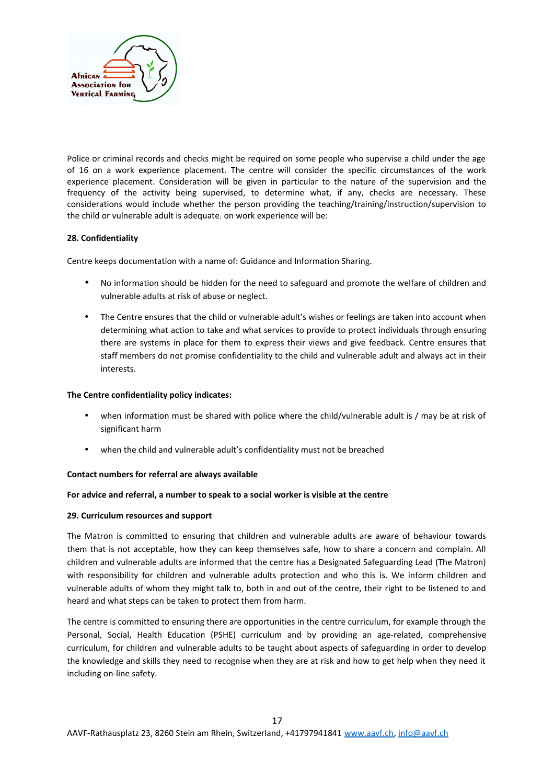

Police or criminal records and checks might be required on some people who supervise a child under the age of 16 on a work experience placement. The centre will consider the specific circumstances of the work experience placement. Consideration will be given in particular to the nature of the supervision and the frequency of the activity being supervised, to determine what, if any, checks are necessary. These considerations would include whether the person providing the teaching/training/instruction/supervision to the child or vulnerable adult is adequate. on work experience will be:

# **28. Confidentiality**

Centre keeps documentation with a name of: Guidance and Information Sharing.

- No information should be hidden for the need to safeguard and promote the welfare of children and vulnerable adults at risk of abuse or neglect.
- The Centre ensures that the child or vulnerable adult's wishes or feelings are taken into account when determining what action to take and what services to provide to protect individuals through ensuring there are systems in place for them to express their views and give feedback. Centre ensures that staff members do not promise confidentiality to the child and vulnerable adult and always act in their interests.

## **The Centre confidentiality policy indicates:**

- when information must be shared with police where the child/vulnerable adult is / may be at risk of significant harm
- when the child and vulnerable adult's confidentiality must not be breached

## **Contact numbers for referral are always available**

## **For advice and referral, a number to speak to a social worker is visible at the centre**

## **29. Curriculum resources and support**

The Matron is committed to ensuring that children and vulnerable adults are aware of behaviour towards them that is not acceptable, how they can keep themselves safe, how to share a concern and complain. All children and vulnerable adults are informed that the centre has a Designated Safeguarding Lead (The Matron) with responsibility for children and vulnerable adults protection and who this is. We inform children and vulnerable adults of whom they might talk to, both in and out of the centre, their right to be listened to and heard and what steps can be taken to protect them from harm.

The centre is committed to ensuring there are opportunities in the centre curriculum, for example through the Personal, Social, Health Education (PSHE) curriculum and by providing an age-related, comprehensive curriculum, for children and vulnerable adults to be taught about aspects of safeguarding in order to develop the knowledge and skills they need to recognise when they are at risk and how to get help when they need it including on-line safety.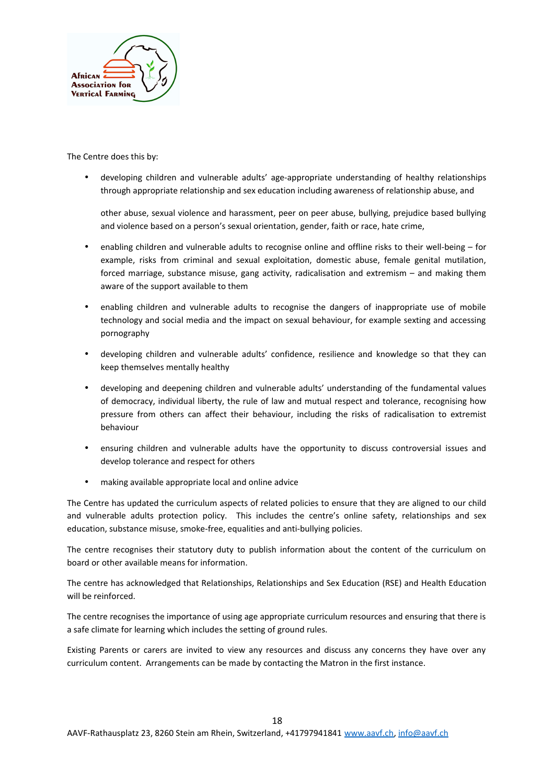

The Centre does this by:

• developing children and vulnerable adults' age-appropriate understanding of healthy relationships through appropriate relationship and sex education including awareness of relationship abuse, and

other abuse, sexual violence and harassment, peer on peer abuse, bullying, prejudice based bullying and violence based on a person's sexual orientation, gender, faith or race, hate crime,

- enabling children and vulnerable adults to recognise online and offline risks to their well-being for example, risks from criminal and sexual exploitation, domestic abuse, female genital mutilation, forced marriage, substance misuse, gang activity, radicalisation and extremism – and making them aware of the support available to them
- enabling children and vulnerable adults to recognise the dangers of inappropriate use of mobile technology and social media and the impact on sexual behaviour, for example sexting and accessing pornography
- developing children and vulnerable adults' confidence, resilience and knowledge so that they can keep themselves mentally healthy
- developing and deepening children and vulnerable adults' understanding of the fundamental values of democracy, individual liberty, the rule of law and mutual respect and tolerance, recognising how pressure from others can affect their behaviour, including the risks of radicalisation to extremist behaviour
- ensuring children and vulnerable adults have the opportunity to discuss controversial issues and develop tolerance and respect for others
- making available appropriate local and online advice

The Centre has updated the curriculum aspects of related policies to ensure that they are aligned to our child and vulnerable adults protection policy. This includes the centre's online safety, relationships and sex education, substance misuse, smoke-free, equalities and anti-bullying policies.

The centre recognises their statutory duty to publish information about the content of the curriculum on board or other available means for information.

The centre has acknowledged that Relationships, Relationships and Sex Education (RSE) and Health Education will be reinforced.

The centre recognises the importance of using age appropriate curriculum resources and ensuring that there is a safe climate for learning which includes the setting of ground rules.

Existing Parents or carers are invited to view any resources and discuss any concerns they have over any curriculum content. Arrangements can be made by contacting the Matron in the first instance.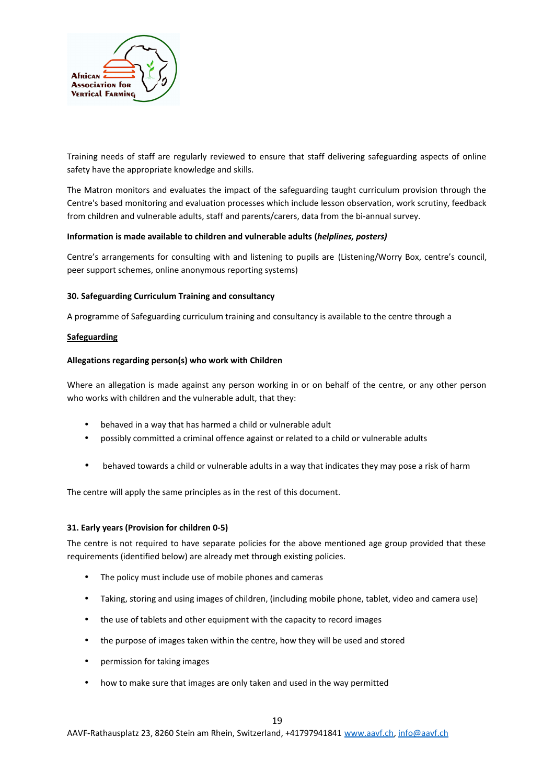

Training needs of staff are regularly reviewed to ensure that staff delivering safeguarding aspects of online safety have the appropriate knowledge and skills.

The Matron monitors and evaluates the impact of the safeguarding taught curriculum provision through the Centre's based monitoring and evaluation processes which include lesson observation, work scrutiny, feedback from children and vulnerable adults, staff and parents/carers, data from the bi-annual survey.

## **Information is made available to children and vulnerable adults (***helplines, posters)*

Centre's arrangements for consulting with and listening to pupils are (Listening/Worry Box, centre's council, peer support schemes, online anonymous reporting systems)

# **30. Safeguarding Curriculum Training and consultancy**

A programme of Safeguarding curriculum training and consultancy is available to the centre through a

## **Safeguarding**

## **Allegations regarding person(s) who work with Children**

Where an allegation is made against any person working in or on behalf of the centre, or any other person who works with children and the vulnerable adult, that they:

- behaved in a way that has harmed a child or vulnerable adult
- possibly committed a criminal offence against or related to a child or vulnerable adults
- behaved towards a child or vulnerable adults in a way that indicates they may pose a risk of harm

The centre will apply the same principles as in the rest of this document.

# **31. Early years (Provision for children 0-5)**

The centre is not required to have separate policies for the above mentioned age group provided that these requirements (identified below) are already met through existing policies.

- The policy must include use of mobile phones and cameras
- Taking, storing and using images of children, (including mobile phone, tablet, video and camera use)
- the use of tablets and other equipment with the capacity to record images
- the purpose of images taken within the centre, how they will be used and stored
- permission for taking images
- how to make sure that images are only taken and used in the way permitted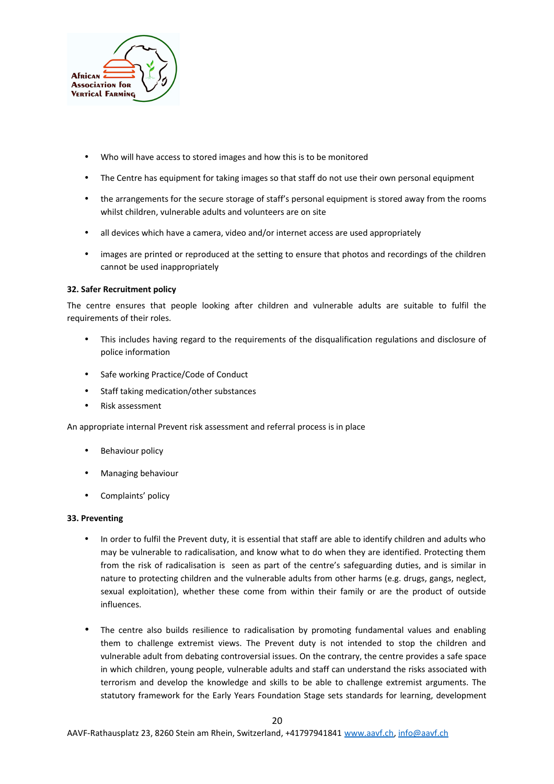

- Who will have access to stored images and how this is to be monitored
- The Centre has equipment for taking images so that staff do not use their own personal equipment
- the arrangements for the secure storage of staff's personal equipment is stored away from the rooms whilst children, vulnerable adults and volunteers are on site
- all devices which have a camera, video and/or internet access are used appropriately
- images are printed or reproduced at the setting to ensure that photos and recordings of the children cannot be used inappropriately

## **32. Safer Recruitment policy**

The centre ensures that people looking after children and vulnerable adults are suitable to fulfil the requirements of their roles.

- This includes having regard to the requirements of the disqualification regulations and disclosure of police information
- Safe working Practice/Code of Conduct
- Staff taking medication/other substances
- Risk assessment

An appropriate internal Prevent risk assessment and referral process is in place

- Behaviour policy
- Managing behaviour
- Complaints' policy

## **33. Preventing**

- In order to fulfil the Prevent duty, it is essential that staff are able to identify children and adults who may be vulnerable to radicalisation, and know what to do when they are identified. Protecting them from the risk of radicalisation is seen as part of the centre's safeguarding duties, and is similar in nature to protecting children and the vulnerable adults from other harms (e.g. drugs, gangs, neglect, sexual exploitation), whether these come from within their family or are the product of outside influences.
- The centre also builds resilience to radicalisation by promoting fundamental values and enabling them to challenge extremist views. The Prevent duty is not intended to stop the children and vulnerable adult from debating controversial issues. On the contrary, the centre provides a safe space in which children, young people, vulnerable adults and staff can understand the risks associated with terrorism and develop the knowledge and skills to be able to challenge extremist arguments. The statutory framework for the Early Years Foundation Stage sets standards for learning, development